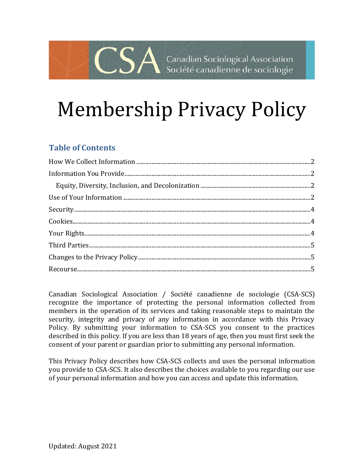## Canadian Sociological Association Société canadienne de sociologie

# Membership Privacy Policy

## **Table of Contents**

 $\bigcap$   $\bigcap$ 

Canadian Sociological Association / Société canadienne de sociologie (CSA-SCS) recognize the importance of protecting the personal information collected from members in the operation of its services and taking reasonable steps to maintain the security, integrity and privacy of any information in accordance with this Privacy Policy. By submitting your information to CSA-SCS you consent to the practices described in this policy. If you are less than 18 years of age, then you must first seek the consent of your parent or guardian prior to submitting any personal information.

This Privacy Policy describes how CSA-SCS collects and uses the personal information you provide to CSA-SCS. It also describes the choices available to you regarding our use of your personal information and how you can access and update this information.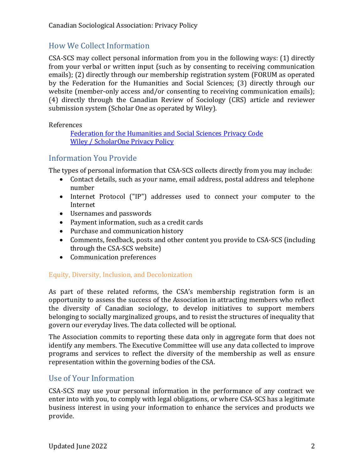## <span id="page-1-0"></span>How We Collect Information

CSA-SCS may collect personal information from you in the following ways: (1) directly from your verbal or written input (such as by consenting to receiving communication emails); (2) directly through our membership registration system (FORUM as operated by the Federation for the Humanities and Social Sciences; (3) directly through our website (member-only access and/or consenting to receiving communication emails); (4) directly through the Canadian Review of Sociology (CRS) article and reviewer submission system (Scholar One as operated by Wiley).

References

[Federation for the Humanities and Social Sciences](https://www.federationhss.ca/en/privacy-code) Privacy Code Wiley [/ ScholarOne Privacy Policy](https://www.wiley.com/en-ca/privacy)

## <span id="page-1-1"></span>Information You Provide

The types of personal information that CSA-SCS collects directly from you may include:

- Contact details, such as your name, email address, postal address and telephone number
- Internet Protocol ("IP") addresses used to connect your computer to the Internet
- Usernames and passwords
- Payment information, such as a credit cards
- Purchase and communication history
- Comments, feedback, posts and other content you provide to CSA-SCS (including through the CSA-SCS website)
- Communication preferences

#### <span id="page-1-2"></span>Equity, Diversity, Inclusion, and Decolonization

As part of these related reforms, the CSA's membership registration form is an opportunity to assess the success of the Association in attracting members who reflect the diversity of Canadian sociology, to develop initiatives to support members belonging to socially marginalized groups, and to resist the structures of inequality that govern our everyday lives. The data collected will be optional.

The Association commits to reporting these data only in aggregate form that does not identify any members. The Executive Committee will use any data collected to improve programs and services to reflect the diversity of the membership as well as ensure representation within the governing bodies of the CSA.

## <span id="page-1-3"></span>Use of Your Information

CSA-SCS may use your personal information in the performance of any contract we enter into with you, to comply with legal obligations, or where CSA-SCS has a legitimate business interest in using your information to enhance the services and products we provide.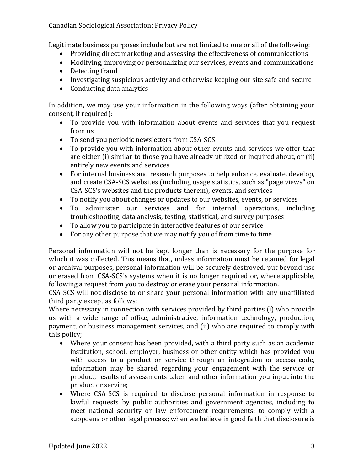#### Canadian Sociological Association: Privacy Policy

Legitimate business purposes include but are not limited to one or all of the following:

- Providing direct marketing and assessing the effectiveness of communications
- Modifying, improving or personalizing our services, events and communications
- Detecting fraud
- Investigating suspicious activity and otherwise keeping our site safe and secure
- Conducting data analytics

In addition, we may use your information in the following ways (after obtaining your consent, if required):

- To provide you with information about events and services that you request from us
- To send you periodic newsletters from CSA-SCS
- To provide you with information about other events and services we offer that are either (i) similar to those you have already utilized or inquired about, or (ii) entirely new events and services
- For internal business and research purposes to help enhance, evaluate, develop, and create CSA-SCS websites (including usage statistics, such as "page views" on CSA-SCS's websites and the products therein), events, and services
- To notify you about changes or updates to our websites, events, or services
- To administer our services and for internal operations, including troubleshooting, data analysis, testing, statistical, and survey purposes
- To allow you to participate in interactive features of our service
- For any other purpose that we may notify you of from time to time

Personal information will not be kept longer than is necessary for the purpose for which it was collected. This means that, unless information must be retained for legal or archival purposes, personal information will be securely destroyed, put beyond use or erased from CSA-SCS's systems when it is no longer required or, where applicable, following a request from you to destroy or erase your personal information.

CSA-SCS will not disclose to or share your personal information with any unaffiliated third party except as follows:

Where necessary in connection with services provided by third parties (i) who provide us with a wide range of office, administrative, information technology, production, payment, or business management services, and (ii) who are required to comply with this policy;

- Where your consent has been provided, with a third party such as an academic institution, school, employer, business or other entity which has provided you with access to a product or service through an integration or access code, information may be shared regarding your engagement with the service or product, results of assessments taken and other information you input into the product or service;
- Where CSA-SCS is required to disclose personal information in response to lawful requests by public authorities and government agencies, including to meet national security or law enforcement requirements; to comply with a subpoena or other legal process; when we believe in good faith that disclosure is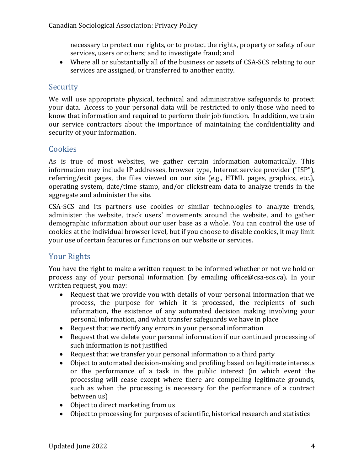necessary to protect our rights, or to protect the rights, property or safety of our services, users or others; and to investigate fraud; and

• Where all or substantially all of the business or assets of CSA-SCS relating to our services are assigned, or transferred to another entity.

## <span id="page-3-0"></span>**Security**

We will use appropriate physical, technical and administrative safeguards to protect your data. Access to your personal data will be restricted to only those who need to know that information and required to perform their job function. In addition, we train our service contractors about the importance of maintaining the confidentiality and security of your information.

## <span id="page-3-1"></span>**Cookies**

As is true of most websites, we gather certain information automatically. This information may include IP addresses, browser type, Internet service provider ("ISP"), referring/exit pages, the files viewed on our site (e.g., HTML pages, graphics, etc.), operating system, date/time stamp, and/or clickstream data to analyze trends in the aggregate and administer the site.

CSA-SCS and its partners use cookies or similar technologies to analyze trends, administer the website, track users' movements around the website, and to gather demographic information about our user base as a whole. You can control the use of cookies at the individual browser level, but if you choose to disable cookies, it may limit your use of certain features or functions on our website or services.

## <span id="page-3-2"></span>Your Rights

You have the right to make a written request to be informed whether or not we hold or process any of your personal information (by emailing office@csa-scs.ca). In your written request, you may:

- Request that we provide you with details of your personal information that we process, the purpose for which it is processed, the recipients of such information, the existence of any automated decision making involving your personal information, and what transfer safeguards we have in place
- Request that we rectify any errors in your personal information
- Request that we delete your personal information if our continued processing of such information is not justified
- Request that we transfer your personal information to a third party
- Object to automated decision-making and profiling based on legitimate interests or the performance of a task in the public interest (in which event the processing will cease except where there are compelling legitimate grounds, such as when the processing is necessary for the performance of a contract between us)
- Object to direct marketing from us
- Object to processing for purposes of scientific, historical research and statistics